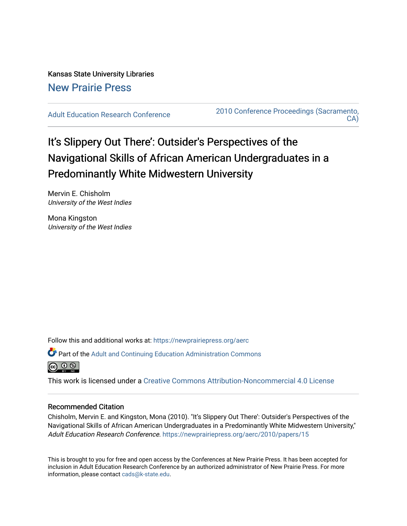Kansas State University Libraries [New Prairie Press](https://newprairiepress.org/) 

[Adult Education Research Conference](https://newprairiepress.org/aerc) [2010 Conference Proceedings \(Sacramento,](https://newprairiepress.org/aerc/2010)  [CA\)](https://newprairiepress.org/aerc/2010) 

# It's Slippery Out There': Outsider's Perspectives of the Navigational Skills of African American Undergraduates in a Predominantly White Midwestern University

Mervin E. Chisholm University of the West Indies

Mona Kingston University of the West Indies

Follow this and additional works at: [https://newprairiepress.org/aerc](https://newprairiepress.org/aerc?utm_source=newprairiepress.org%2Faerc%2F2010%2Fpapers%2F15&utm_medium=PDF&utm_campaign=PDFCoverPages)

Part of the [Adult and Continuing Education Administration Commons](http://network.bepress.com/hgg/discipline/789?utm_source=newprairiepress.org%2Faerc%2F2010%2Fpapers%2F15&utm_medium=PDF&utm_campaign=PDFCoverPages)



This work is licensed under a [Creative Commons Attribution-Noncommercial 4.0 License](https://creativecommons.org/licenses/by-nc/4.0/)

### Recommended Citation

Chisholm, Mervin E. and Kingston, Mona (2010). "It's Slippery Out There': Outsider's Perspectives of the Navigational Skills of African American Undergraduates in a Predominantly White Midwestern University," Adult Education Research Conference. <https://newprairiepress.org/aerc/2010/papers/15>

This is brought to you for free and open access by the Conferences at New Prairie Press. It has been accepted for inclusion in Adult Education Research Conference by an authorized administrator of New Prairie Press. For more information, please contact [cads@k-state.edu](mailto:cads@k-state.edu).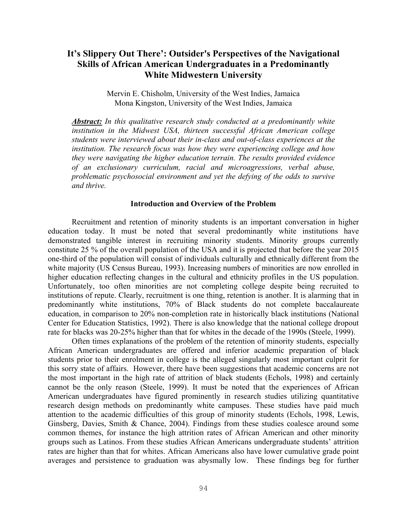## **It's Slippery Out There': Outsider's Perspectives of the Navigational Skills of African American Undergraduates in a Predominantly White Midwestern University**

Mervin E. Chisholm, University of the West Indies, Jamaica Mona Kingston, University of the West Indies, Jamaica

*Abstract: In this qualitative research study conducted at a predominantly white institution in the Midwest USA, thirteen successful African American college students were interviewed about their in-class and out-of-class experiences at the institution. The research focus was how they were experiencing college and how they were navigating the higher education terrain. The results provided evidence of an exclusionary curriculum, racial and microagressions, verbal abuse, problematic psychosocial environment and yet the defying of the odds to survive and thrive.* 

#### **Introduction and Overview of the Problem**

Recruitment and retention of minority students is an important conversation in higher education today. It must be noted that several predominantly white institutions have demonstrated tangible interest in recruiting minority students. Minority groups currently constitute 25 % of the overall population of the USA and it is projected that before the year 2015 one-third of the population will consist of individuals culturally and ethnically different from the white majority (US Census Bureau, 1993). Increasing numbers of minorities are now enrolled in higher education reflecting changes in the cultural and ethnicity profiles in the US population. Unfortunately, too often minorities are not completing college despite being recruited to institutions of repute. Clearly, recruitment is one thing, retention is another. It is alarming that in predominantly white institutions, 70% of Black students do not complete baccalaureate education, in comparison to 20% non-completion rate in historically black institutions (National Center for Education Statistics, 1992). There is also knowledge that the national college dropout rate for blacks was 20-25% higher than that for whites in the decade of the 1990s (Steele, 1999).

Often times explanations of the problem of the retention of minority students, especially African American undergraduates are offered and inferior academic preparation of black students prior to their enrolment in college is the alleged singularly most important culprit for this sorry state of affairs. However, there have been suggestions that academic concerns are not the most important in the high rate of attrition of black students (Echols, 1998) and certainly cannot be the only reason (Steele, 1999). It must be noted that the experiences of African American undergraduates have figured prominently in research studies utilizing quantitative research design methods on predominantly white campuses. These studies have paid much attention to the academic difficulties of this group of minority students (Echols, 1998, Lewis, Ginsberg, Davies, Smith & Chance, 2004). Findings from these studies coalesce around some common themes, for instance the high attrition rates of African American and other minority groups such as Latinos. From these studies African Americans undergraduate students' attrition rates are higher than that for whites. African Americans also have lower cumulative grade point averages and persistence to graduation was abysmally low. These findings beg for further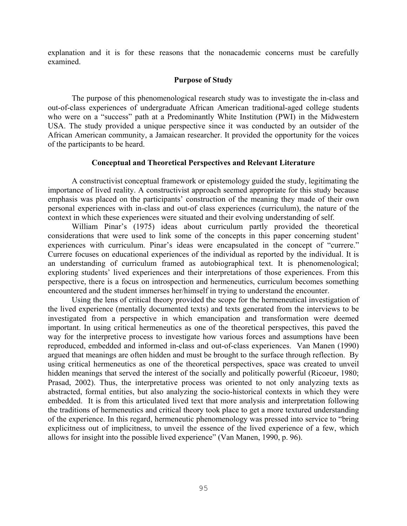explanation and it is for these reasons that the nonacademic concerns must be carefully examined.

#### **Purpose of Study**

The purpose of this phenomenological research study was to investigate the in-class and out-of-class experiences of undergraduate African American traditional-aged college students who were on a "success" path at a Predominantly White Institution (PWI) in the Midwestern USA. The study provided a unique perspective since it was conducted by an outsider of the African American community, a Jamaican researcher. It provided the opportunity for the voices of the participants to be heard.

#### **Conceptual and Theoretical Perspectives and Relevant Literature**

A constructivist conceptual framework or epistemology guided the study, legitimating the importance of lived reality. A constructivist approach seemed appropriate for this study because emphasis was placed on the participants' construction of the meaning they made of their own personal experiences with in-class and out-of class experiences (curriculum), the nature of the context in which these experiences were situated and their evolving understanding of self.

William Pinar's (1975) ideas about curriculum partly provided the theoretical considerations that were used to link some of the concepts in this paper concerning student' experiences with curriculum. Pinar's ideas were encapsulated in the concept of "currere." Currere focuses on educational experiences of the individual as reported by the individual. It is an understanding of curriculum framed as autobiographical text. It is phenomenological; exploring students' lived experiences and their interpretations of those experiences. From this perspective, there is a focus on introspection and hermeneutics, curriculum becomes something encountered and the student immerses her/himself in trying to understand the encounter.

Using the lens of critical theory provided the scope for the hermeneutical investigation of the lived experience (mentally documented texts) and texts generated from the interviews to be investigated from a perspective in which emancipation and transformation were deemed important. In using critical hermeneutics as one of the theoretical perspectives, this paved the way for the interpretive process to investigate how various forces and assumptions have been reproduced, embedded and informed in-class and out-of-class experiences. Van Manen (1990) argued that meanings are often hidden and must be brought to the surface through reflection. By using critical hermeneutics as one of the theoretical perspectives, space was created to unveil hidden meanings that served the interest of the socially and politically powerful (Ricoeur, 1980; Prasad, 2002). Thus, the interpretative process was oriented to not only analyzing texts as abstracted, formal entities, but also analyzing the socio-historical contexts in which they were embedded. It is from this articulated lived text that more analysis and interpretation following the traditions of hermeneutics and critical theory took place to get a more textured understanding of the experience. In this regard, hermeneutic phenomenology was pressed into service to "bring explicitness out of implicitness, to unveil the essence of the lived experience of a few, which allows for insight into the possible lived experience" (Van Manen, 1990, p. 96).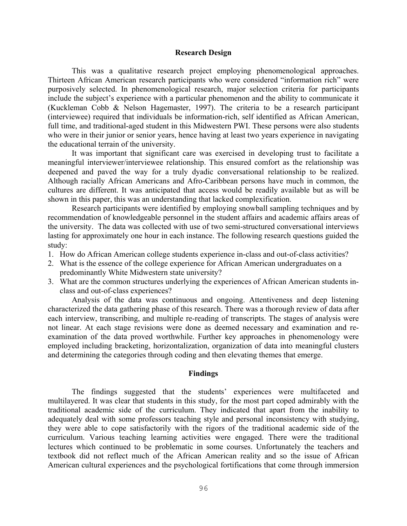#### **Research Design**

This was a qualitative research project employing phenomenological approaches. Thirteen African American research participants who were considered "information rich" were purposively selected. In phenomenological research, major selection criteria for participants include the subject's experience with a particular phenomenon and the ability to communicate it (Kuckleman Cobb & Nelson Hagemaster, 1997). The criteria to be a research participant (interviewee) required that individuals be information-rich, self identified as African American, full time, and traditional-aged student in this Midwestern PWI. These persons were also students who were in their junior or senior years, hence having at least two years experience in navigating the educational terrain of the university.

It was important that significant care was exercised in developing trust to facilitate a meaningful interviewer/interviewee relationship. This ensured comfort as the relationship was deepened and paved the way for a truly dyadic conversational relationship to be realized. Although racially African Americans and Afro-Caribbean persons have much in common, the cultures are different. It was anticipated that access would be readily available but as will be shown in this paper, this was an understanding that lacked complexification.

Research participants were identified by employing snowball sampling techniques and by recommendation of knowledgeable personnel in the student affairs and academic affairs areas of the university. The data was collected with use of two semi-structured conversational interviews lasting for approximately one hour in each instance. The following research questions guided the study:

- 1. How do African American college students experience in-class and out-of-class activities?
- 2. What is the essence of the college experience for African American undergraduates on a predominantly White Midwestern state university?
- 3. What are the common structures underlying the experiences of African American students inclass and out-of-class experiences?

Analysis of the data was continuous and ongoing. Attentiveness and deep listening characterized the data gathering phase of this research. There was a thorough review of data after each interview, transcribing, and multiple re-reading of transcripts. The stages of analysis were not linear. At each stage revisions were done as deemed necessary and examination and reexamination of the data proved worthwhile. Further key approaches in phenomenology were employed including bracketing, horizontalization, organization of data into meaningful clusters and determining the categories through coding and then elevating themes that emerge.

#### **Findings**

The findings suggested that the students' experiences were multifaceted and multilayered. It was clear that students in this study, for the most part coped admirably with the traditional academic side of the curriculum. They indicated that apart from the inability to adequately deal with some professors teaching style and personal inconsistency with studying, they were able to cope satisfactorily with the rigors of the traditional academic side of the curriculum. Various teaching learning activities were engaged. There were the traditional lectures which continued to be problematic in some courses. Unfortunately the teachers and textbook did not reflect much of the African American reality and so the issue of African American cultural experiences and the psychological fortifications that come through immersion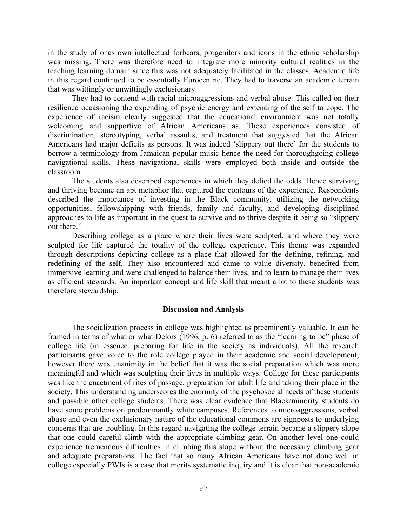in the study of ones own intellectual forbears, progenitors and icons in the ethnic scholarship was missing. There was therefore need to integrate more minority cultural realities in the teaching learning domain since this was not adequately facilitated in the classes. Academic life in this regard continued to be essentially Eurocentric. They had to traverse an academic terrain that was wittingly or unwittingly exclusionary.

They had to contend with racial microaggressions and verbal abuse. This called on their resilience occasioning the expending of psychic energy and extending of the self to cope. The experience of racism clearly suggested that the educational environment was not totally welcoming and supportive of African Americans as. These experiences consisted of discrimination, stereotyping, verbal assaults, and treatment that suggested that the African Americans had major deficits as persons. It was indeed 'slippery out there' for the students to borrow a terminology from Jamaican popular music hence the need for thoroughgoing college navigational skills. These navigational skills were employed both inside and outside the classroom.

The students also described experiences in which they defied the odds. Hence surviving and thriving became an apt metaphor that captured the contours of the experience. Respondents described the importance of investing in the Black community, utilizing the networking opportunities, fellowshipping with friends, family and faculty, and developing disciplined approaches to life as important in the quest to survive and to thrive despite it being so "slippery out there."

Describing college as a place where their lives were sculpted, and where they were sculpted for life captured the totality of the college experience. This theme was expanded through descriptions depicting college as a place that allowed for the defining, refining, and redefining of the self. They also encountered and came to value diversity, benefited from immersive learning and were challenged to balance their lives, and to learn to manage their lives as efficient stewards. An important concept and life skill that meant a lot to these students was therefore stewardship.

#### **Discussion and Analysis**

The socialization process in college was highlighted as preeminently valuable. It can be framed in terms of what or what Delors (1996, p. 6) referred to as the "learning to be" phase of college life (in essence, preparing for life in the society as individuals). All the research participants gave voice to the role college played in their academic and social development; however there was unanimity in the belief that it was the social preparation which was more meaningful and which was sculpting their lives in multiple ways. College for these participants was like the enactment of rites of passage, preparation for adult life and taking their place in the society. This understanding underscores the enormity of the psychosocial needs of these students and possible other college students. There was clear evidence that Black/minority students do have some problems on predominantly white campuses. References to microaggressions, verbal abuse and even the exclusionary nature of the educational commons are signposts to underlying concerns that are troubling. In this regard navigating the college terrain became a slippery slope that one could careful climb with the appropriate climbing gear. On another level one could experience tremendous difficulties in climbing this slope without the necessary climbing gear and adequate preparations. The fact that so many African Americans have not done well in college especially PWIs is a case that merits systematic inquiry and it is clear that non-academic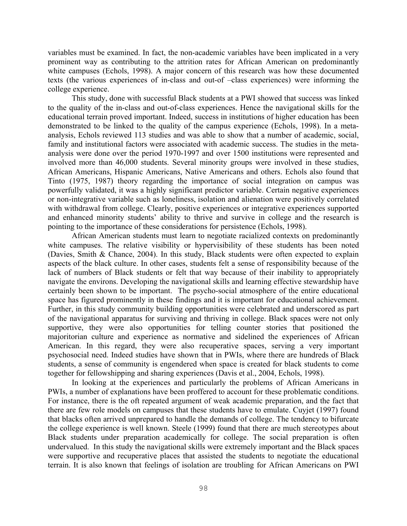variables must be examined. In fact, the non-academic variables have been implicated in a very prominent way as contributing to the attrition rates for African American on predominantly white campuses (Echols, 1998). A major concern of this research was how these documented texts (the various experiences of in-class and out-of –class experiences) were informing the college experience.

This study, done with successful Black students at a PWI showed that success was linked to the quality of the in-class and out-of-class experiences. Hence the navigational skills for the educational terrain proved important. Indeed, success in institutions of higher education has been demonstrated to be linked to the quality of the campus experience (Echols, 1998). In a metaanalysis, Echols reviewed 113 studies and was able to show that a number of academic, social, family and institutional factors were associated with academic success. The studies in the metaanalysis were done over the period 1970-1997 and over 1500 institutions were represented and involved more than 46,000 students. Several minority groups were involved in these studies, African Americans, Hispanic Americans, Native Americans and others. Echols also found that Tinto (1975, 1987) theory regarding the importance of social integration on campus was powerfully validated, it was a highly significant predictor variable. Certain negative experiences or non-integrative variable such as loneliness, isolation and alienation were positively correlated with withdrawal from college. Clearly, positive experiences or integrative experiences supported and enhanced minority students' ability to thrive and survive in college and the research is pointing to the importance of these considerations for persistence (Echols, 1998).

African American students must learn to negotiate racialized contexts on predominantly white campuses. The relative visibility or hypervisibility of these students has been noted (Davies, Smith & Chance, 2004). In this study, Black students were often expected to explain aspects of the black culture. In other cases, students felt a sense of responsibility because of the lack of numbers of Black students or felt that way because of their inability to appropriately navigate the environs. Developing the navigational skills and learning effective stewardship have certainly been shown to be important. The psycho-social atmosphere of the entire educational space has figured prominently in these findings and it is important for educational achievement. Further, in this study community building opportunities were celebrated and underscored as part of the navigational apparatus for surviving and thriving in college. Black spaces were not only supportive, they were also opportunities for telling counter stories that positioned the majoritorian culture and experience as normative and sidelined the experiences of African American. In this regard, they were also recuperative spaces, serving a very important psychosocial need. Indeed studies have shown that in PWIs, where there are hundreds of Black students, a sense of community is engendered when space is created for black students to come together for fellowshipping and sharing experiences (Davis et al., 2004, Echols, 1998).

In looking at the experiences and particularly the problems of African Americans in PWIs, a number of explanations have been proffered to account for these problematic conditions. For instance, there is the oft repeated argument of weak academic preparation, and the fact that there are few role models on campuses that these students have to emulate. Cuyjet (1997) found that blacks often arrived unprepared to handle the demands of college. The tendency to bifurcate the college experience is well known. Steele (1999) found that there are much stereotypes about Black students under preparation academically for college. The social preparation is often undervalued. In this study the navigational skills were extremely important and the Black spaces were supportive and recuperative places that assisted the students to negotiate the educational terrain. It is also known that feelings of isolation are troubling for African Americans on PWI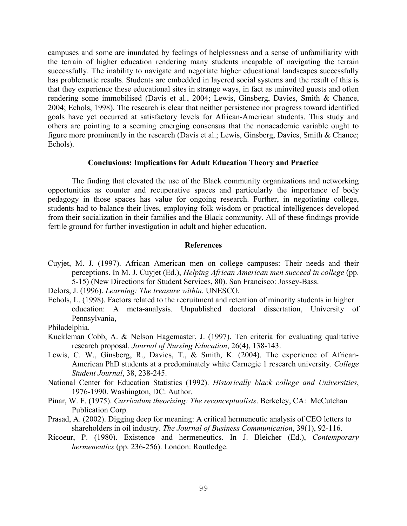campuses and some are inundated by feelings of helplessness and a sense of unfamiliarity with the terrain of higher education rendering many students incapable of navigating the terrain successfully. The inability to navigate and negotiate higher educational landscapes successfully has problematic results. Students are embedded in layered social systems and the result of this is that they experience these educational sites in strange ways, in fact as uninvited guests and often rendering some immobilised (Davis et al., 2004; Lewis, Ginsberg, Davies, Smith & Chance, 2004; Echols, 1998). The research is clear that neither persistence nor progress toward identified goals have yet occurred at satisfactory levels for African-American students. This study and others are pointing to a seeming emerging consensus that the nonacademic variable ought to figure more prominently in the research (Davis et al.; Lewis, Ginsberg, Davies, Smith & Chance; Echols).

#### **Conclusions: Implications for Adult Education Theory and Practice**

The finding that elevated the use of the Black community organizations and networking opportunities as counter and recuperative spaces and particularly the importance of body pedagogy in those spaces has value for ongoing research. Further, in negotiating college, students had to balance their lives, employing folk wisdom or practical intelligences developed from their socialization in their families and the Black community. All of these findings provide fertile ground for further investigation in adult and higher education.

#### **References**

- Cuyjet, M. J. (1997). African American men on college campuses: Their needs and their perceptions. In M. J. Cuyjet (Ed.), *Helping African American men succeed in college* (pp. 5-15) (New Directions for Student Services, 80). San Francisco: Jossey-Bass.
- Delors, J. (1996). *Learning: The treasure within*. UNESCO.
- Echols, L. (1998). Factors related to the recruitment and retention of minority students in higher education: A meta-analysis. Unpublished doctoral dissertation, University of Pennsylvania,

Philadelphia.

- Kuckleman Cobb, A. & Nelson Hagemaster, J. (1997). Ten criteria for evaluating qualitative research proposal. *Journal of Nursing Education*, 26(4), 138-143.
- Lewis, C. W., Ginsberg, R., Davies, T., & Smith, K. (2004). The experience of African-American PhD students at a predominately white Carnegie 1 research university. *College Student Journal*, 38, 238-245.
- National Center for Education Statistics (1992). *Historically black college and Universities*, 1976-1990. Washington, DC: Author.
- Pinar, W. F. (1975). *Curriculum theorizing: The reconceptualists*. Berkeley, CA: McCutchan Publication Corp.
- Prasad, A. (2002). Digging deep for meaning: A critical hermeneutic analysis of CEO letters to shareholders in oil industry. *The Journal of Business Communication*, 39(1), 92-116.
- Ricoeur, P. (1980). Existence and hermeneutics. In J. Bleicher (Ed.), *Contemporary hermeneutics* (pp. 236-256). London: Routledge.